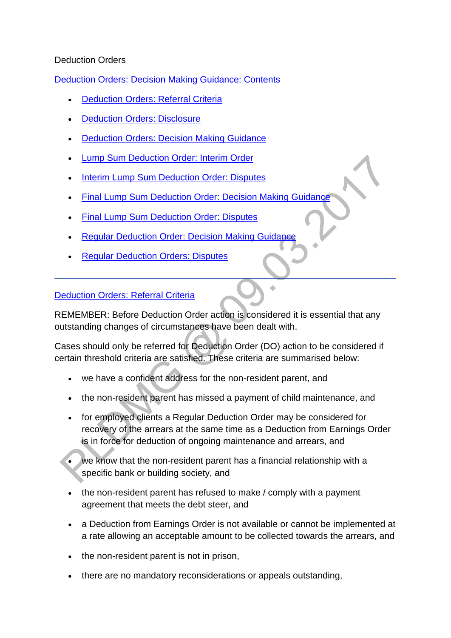## Deduction Orders

[Deduction Orders: Decision Making Guidance: Contents](http://np-cmg-sharepoint.link2.gpn.gov.uk/sites/policy-law-and-decision-making-guidance/Pages/Arrears%20MOC/Deduction-Orders-DMG.aspx)

- [Deduction Orders: Referral Criteria](http://np-cmg-sharepoint.link2.gpn.gov.uk/sites/policy-law-and-decision-making-guidance/Pages/Arrears%20MOC/Deduction-Orders-DMG.aspx#DORefCriteria)
- [Deduction Orders: Disclosure](http://np-cmg-sharepoint.link2.gpn.gov.uk/sites/policy-law-and-decision-making-guidance/Pages/Arrears%20MOC/Deduction-Orders-DMG.aspx#DODisclosure)
- **[Deduction Orders: Decision Making Guidance](http://np-cmg-sharepoint.link2.gpn.gov.uk/sites/policy-law-and-decision-making-guidance/Pages/Arrears%20MOC/Deduction-Orders-DMG.aspx#DODMG)**
- [Lump Sum Deduction Order: Interim Order](http://np-cmg-sharepoint.link2.gpn.gov.uk/sites/policy-law-and-decision-making-guidance/Pages/Arrears%20MOC/Deduction-Orders-DMG.aspx#LSDOInterim)
- [Interim Lump Sum Deduction Order: Disputes](http://np-cmg-sharepoint.link2.gpn.gov.uk/sites/policy-law-and-decision-making-guidance/Pages/Arrears%20MOC/Deduction-Orders-DMG.aspx#InterimLSDODisputes)
- [Final Lump Sum Deduction Order: Decision Making Guidance](http://np-cmg-sharepoint.link2.gpn.gov.uk/sites/policy-law-and-decision-making-guidance/Pages/Arrears%20MOC/Deduction-Orders-DMG.aspx#FinalLSDODMG)
- [Final Lump Sum Deduction Order: Disputes](http://np-cmg-sharepoint.link2.gpn.gov.uk/sites/policy-law-and-decision-making-guidance/Pages/Arrears%20MOC/Deduction-Orders-DMG.aspx#FinalLSDODisputes)
- [Regular Deduction Order: Decision Making Guidance](http://np-cmg-sharepoint.link2.gpn.gov.uk/sites/policy-law-and-decision-making-guidance/Pages/Arrears%20MOC/Deduction-Orders-DMG.aspx#RDODMG)
- [Regular Deduction Orders: Disputes](http://np-cmg-sharepoint.link2.gpn.gov.uk/sites/policy-law-and-decision-making-guidance/Pages/Arrears%20MOC/Deduction-Orders-DMG.aspx#RDODisputes)

#### [Deduction Orders: Referral Criteria](http://np-cmg-sharepoint.link2.gpn.gov.uk/sites/policy-law-and-decision-making-guidance/Pages/Arrears%20MOC/Deduction-Orders-DMG.aspx)

REMEMBER: Before Deduction Order action is considered it is essential that any outstanding changes of circumstances have been dealt with.

ż

Cases should only be referred for Deduction Order (DO) action to be considered if certain threshold criteria are satisfied. These criteria are summarised below:

- we have a confident address for the non-resident parent, and
- the non-resident parent has missed a payment of child maintenance, and
- for employed clients a Regular Deduction Order may be considered for recovery of the arrears at the same time as a Deduction from Earnings Order is in force for deduction of ongoing maintenance and arrears, and
- we know that the non-resident parent has a financial relationship with a specific bank or building society, and
- the non-resident parent has refused to make / comply with a payment agreement that meets the debt steer, and
- a Deduction from Earnings Order is not available or cannot be implemented at a rate allowing an acceptable amount to be collected towards the arrears, and
- the non-resident parent is not in prison,
- there are no mandatory reconsiderations or appeals outstanding,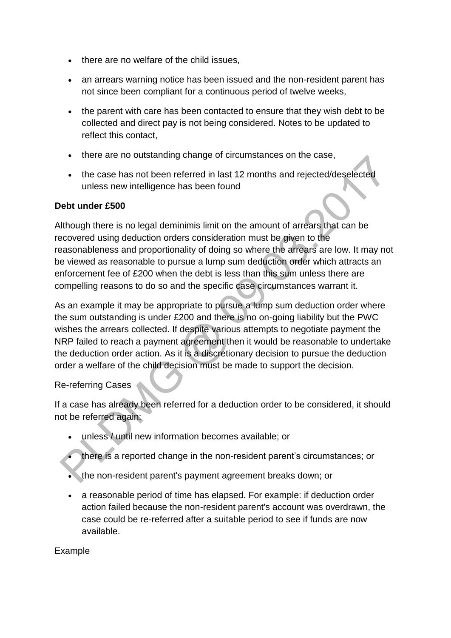- there are no welfare of the child issues,
- an arrears warning notice has been issued and the non-resident parent has not since been compliant for a continuous period of twelve weeks,
- the parent with care has been contacted to ensure that they wish debt to be collected and direct pay is not being considered. Notes to be updated to reflect this contact,
- there are no outstanding change of circumstances on the case,
- the case has not been referred in last 12 months and rejected/deselected unless new intelligence has been found

#### **Debt under £500**

Although there is no legal deminimis limit on the amount of arrears that can be recovered using deduction orders consideration must be given to the reasonableness and proportionality of doing so where the arrears are low. It may not be viewed as reasonable to pursue a lump sum deduction order which attracts an enforcement fee of £200 when the debt is less than this sum unless there are compelling reasons to do so and the specific case circumstances warrant it.

As an example it may be appropriate to pursue a lump sum deduction order where the sum outstanding is under £200 and there is no on-going liability but the PWC wishes the arrears collected. If despite various attempts to negotiate payment the NRP failed to reach a payment agreement then it would be reasonable to undertake the deduction order action. As it is a discretionary decision to pursue the deduction order a welfare of the child decision must be made to support the decision.

## Re-referring Cases

If a case has already been referred for a deduction order to be considered, it should not be referred again:

- unless / until new information becomes available; or
- there is a reported change in the non-resident parent's circumstances; or
- the non-resident parent's payment agreement breaks down; or
- a reasonable period of time has elapsed. For example: if deduction order action failed because the non-resident parent's account was overdrawn, the case could be re-referred after a suitable period to see if funds are now available.

#### Example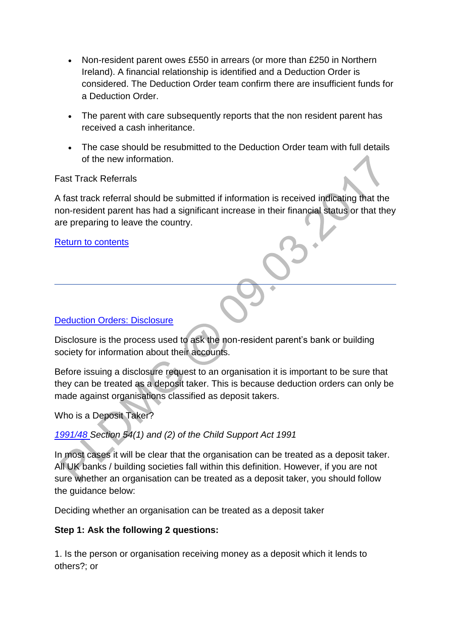- Non-resident parent owes £550 in arrears (or more than £250 in Northern Ireland). A financial relationship is identified and a Deduction Order is considered. The Deduction Order team confirm there are insufficient funds for a Deduction Order.
- The parent with care subsequently reports that the non resident parent has received a cash inheritance.
- The case should be resubmitted to the Deduction Order team with full details of the new information.

Fast Track Referrals

A fast track referral should be submitted if information is received indicating that the non-resident parent has had a significant increase in their financial status or that they are preparing to leave the country.

[Return to contents](http://np-cmg-sharepoint.link2.gpn.gov.uk/sites/policy-law-and-decision-making-guidance/Pages/Arrears%20MOC/Deduction-Orders-DMG.aspx#Contents)

## [Deduction Orders: Disclosure](http://np-cmg-sharepoint.link2.gpn.gov.uk/sites/policy-law-and-decision-making-guidance/Pages/Arrears%20MOC/Deduction-Orders-DMG.aspx)

Disclosure is the process used to ask the non-resident parent's bank or building society for information about their accounts.

Before issuing a disclosure request to an organisation it is important to be sure that they can be treated as a deposit taker. This is because deduction orders can only be made against organisations classified as deposit takers.

Who is a Deposit Taker?

# *[1991/48 S](http://www.legislation.gov.uk/ukpga/1991/48)ection 54(1) and (2) of the Child Support Act 1991*

In most cases it will be clear that the organisation can be treated as a deposit taker. All UK banks / building societies fall within this definition. However, if you are not sure whether an organisation can be treated as a deposit taker, you should follow the guidance below:

Deciding whether an organisation can be treated as a deposit taker

# **Step 1: Ask the following 2 questions:**

1. Is the person or organisation receiving money as a deposit which it lends to others?; or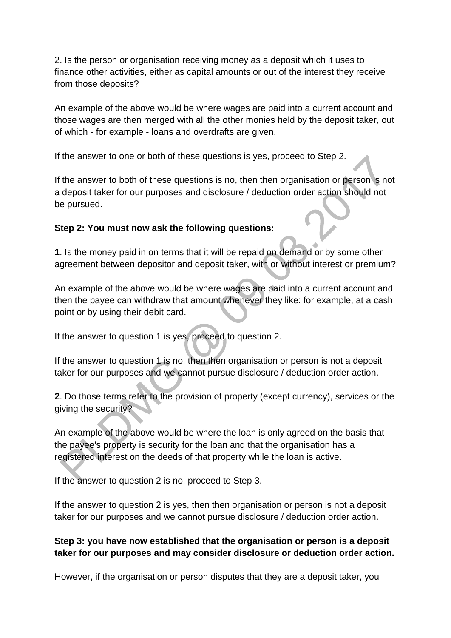2. Is the person or organisation receiving money as a deposit which it uses to finance other activities, either as capital amounts or out of the interest they receive from those deposits?

An example of the above would be where wages are paid into a current account and those wages are then merged with all the other monies held by the deposit taker, out of which - for example - loans and overdrafts are given.

If the answer to one or both of these questions is yes, proceed to Step 2.

If the answer to both of these questions is no, then then organisation or person is not a deposit taker for our purposes and disclosure / deduction order action should not be pursued.

## **Step 2: You must now ask the following questions:**

**1**. Is the money paid in on terms that it will be repaid on demand or by some other agreement between depositor and deposit taker, with or without interest or premium?

An example of the above would be where wages are paid into a current account and then the payee can withdraw that amount whenever they like: for example, at a cash point or by using their debit card.

If the answer to question 1 is yes, proceed to question 2.

If the answer to question 1 is no, then then organisation or person is not a deposit taker for our purposes and we cannot pursue disclosure / deduction order action.

**2**. Do those terms refer to the provision of property (except currency), services or the giving the security?

An example of the above would be where the loan is only agreed on the basis that the payee's property is security for the loan and that the organisation has a registered interest on the deeds of that property while the loan is active.

If the answer to question 2 is no, proceed to Step 3.

If the answer to question 2 is yes, then then organisation or person is not a deposit taker for our purposes and we cannot pursue disclosure / deduction order action.

# **Step 3: you have now established that the organisation or person is a deposit taker for our purposes and may consider disclosure or deduction order action.**

However, if the organisation or person disputes that they are a deposit taker, you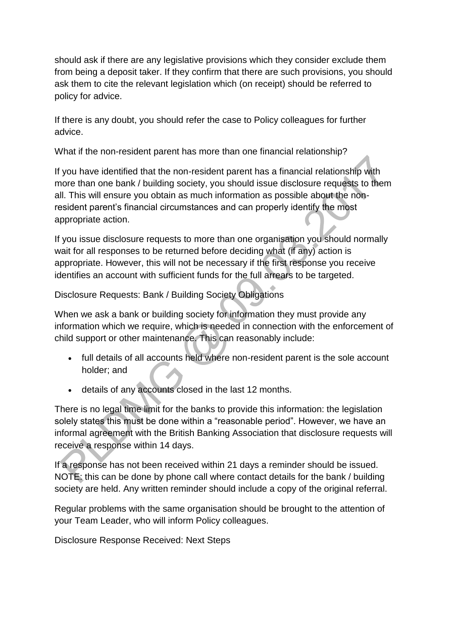should ask if there are any legislative provisions which they consider exclude them from being a deposit taker. If they confirm that there are such provisions, you should ask them to cite the relevant legislation which (on receipt) should be referred to policy for advice.

If there is any doubt, you should refer the case to Policy colleagues for further advice.

What if the non-resident parent has more than one financial relationship?

If you have identified that the non-resident parent has a financial relationship with more than one bank / building society, you should issue disclosure requests to them all. This will ensure you obtain as much information as possible about the nonresident parent's financial circumstances and can properly identify the most appropriate action.

If you issue disclosure requests to more than one organisation you should normally wait for all responses to be returned before deciding what (if any) action is appropriate. However, this will not be necessary if the first response you receive identifies an account with sufficient funds for the full arrears to be targeted.

Disclosure Requests: Bank / Building Society Obligations

When we ask a bank or building society for information they must provide any information which we require, which is needed in connection with the enforcement of child support or other maintenance. This can reasonably include:

- full details of all accounts held where non-resident parent is the sole account holder; and
- details of any accounts closed in the last 12 months.

There is no legal time limit for the banks to provide this information: the legislation solely states this must be done within a "reasonable period". However, we have an informal agreement with the British Banking Association that disclosure requests will receive a response within 14 days.

If a response has not been received within 21 days a reminder should be issued. NOTE: this can be done by phone call where contact details for the bank / building society are held. Any written reminder should include a copy of the original referral.

Regular problems with the same organisation should be brought to the attention of your Team Leader, who will inform Policy colleagues.

Disclosure Response Received: Next Steps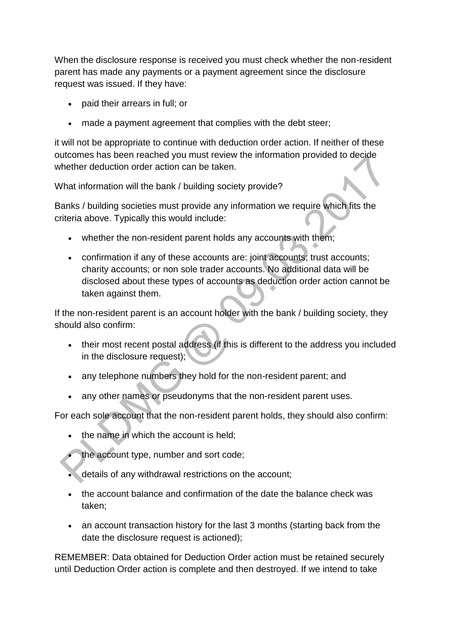When the disclosure response is received you must check whether the non-resident parent has made any payments or a payment agreement since the disclosure request was issued. If they have:

- paid their arrears in full; or
- made a payment agreement that complies with the debt steer;

it will not be appropriate to continue with deduction order action. If neither of these outcomes has been reached you must review the information provided to decide whether deduction order action can be taken.

What information will the bank / building society provide?

Banks / building societies must provide any information we require which fits the criteria above. Typically this would include:

- whether the non-resident parent holds any accounts with them;
- confirmation if any of these accounts are: joint accounts; trust accounts; charity accounts; or non sole trader accounts. No additional data will be disclosed about these types of accounts as deduction order action cannot be taken against them.

If the non-resident parent is an account holder with the bank / building society, they should also confirm:

- their most recent postal address (if this is different to the address you included in the disclosure request);
- any telephone numbers they hold for the non-resident parent; and
- any other names or pseudonyms that the non-resident parent uses.

For each sole account that the non-resident parent holds, they should also confirm:

- the name in which the account is held;
- the account type, number and sort code;
- details of any withdrawal restrictions on the account;
- the account balance and confirmation of the date the balance check was taken;
- an account transaction history for the last 3 months (starting back from the date the disclosure request is actioned);

REMEMBER: Data obtained for Deduction Order action must be retained securely until Deduction Order action is complete and then destroyed. If we intend to take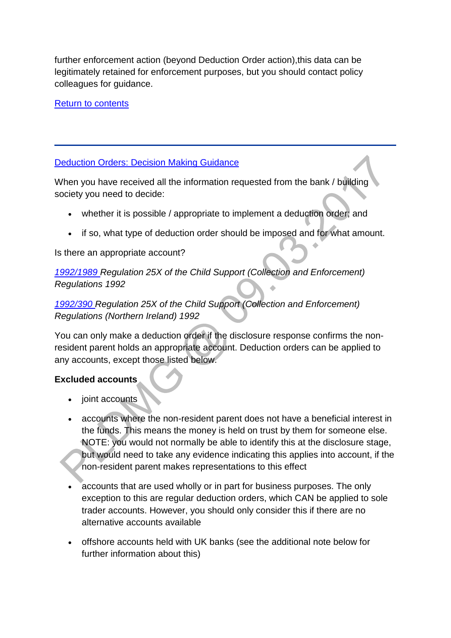further enforcement action (beyond Deduction Order action),this data can be legitimately retained for enforcement purposes, but you should contact policy colleagues for guidance.

[Return to contents](http://np-cmg-sharepoint.link2.gpn.gov.uk/sites/policy-law-and-decision-making-guidance/Pages/Arrears%20MOC/Deduction-Orders-DMG.aspx#Contents)

# [Deduction Orders: Decision Making Guidance](http://np-cmg-sharepoint.link2.gpn.gov.uk/sites/policy-law-and-decision-making-guidance/Pages/Arrears%20MOC/Deduction-Orders-DMG.aspx)

When you have received all the information requested from the bank / building society you need to decide:

- whether it is possible / appropriate to implement a deduction order; and
- if so, what type of deduction order should be imposed and for what amount.

## Is there an appropriate account?

*[1992/1989 R](http://www.legislation.gov.uk/uksi/1992/1989)egulation 25X of the Child Support (Collection and Enforcement) Regulations 1992*

# *[1992/390 R](http://iaccess.communities-ni.gov.uk/sspldorangevolumesinternet/users/Viewattachment.aspx?recordid=/maHq7u7Uto=)egulation 25X of the Child Support (Collection and Enforcement) Regulations (Northern Ireland) 1992*

You can only make a deduction order if the disclosure response confirms the nonresident parent holds an appropriate account. Deduction orders can be applied to any accounts, except those listed below.

## **Excluded accounts**

- joint accounts
- accounts where the non-resident parent does not have a beneficial interest in the funds. This means the money is held on trust by them for someone else. NOTE: you would not normally be able to identify this at the disclosure stage, but would need to take any evidence indicating this applies into account, if the non-resident parent makes representations to this effect
- accounts that are used wholly or in part for business purposes. The only exception to this are regular deduction orders, which CAN be applied to sole trader accounts. However, you should only consider this if there are no alternative accounts available
- offshore accounts held with UK banks (see the additional note below for further information about this)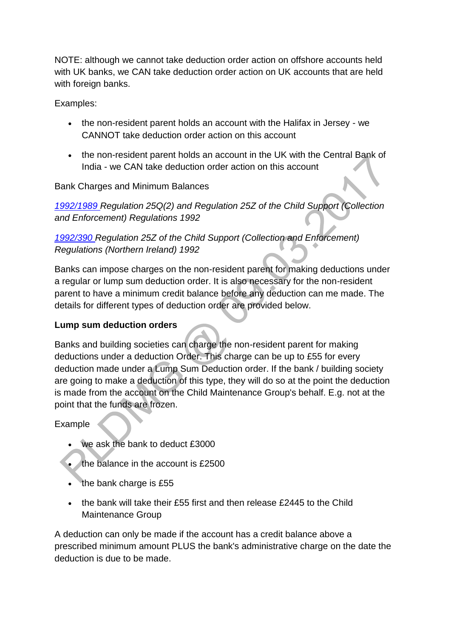NOTE: although we cannot take deduction order action on offshore accounts held with UK banks, we CAN take deduction order action on UK accounts that are held with foreign banks.

Examples:

- the non-resident parent holds an account with the Halifax in Jersey we CANNOT take deduction order action on this account
- the non-resident parent holds an account in the UK with the Central Bank of India - we CAN take deduction order action on this account

Bank Charges and Minimum Balances

*[1992/1989 R](http://www.legislation.gov.uk/uksi/1992/1989)egulation 25Q(2) and Regulation 25Z of the Child Support (Collection and Enforcement) Regulations 1992*

# *[1992/390 R](http://iaccess.communities-ni.gov.uk/sspldorangevolumesinternet/users/Viewattachment.aspx?recordid=/maHq7u7Uto=)egulation 25Z of the Child Support (Collection and Enforcement) Regulations (Northern Ireland) 1992*

Banks can impose charges on the non-resident parent for making deductions under a regular or lump sum deduction order. It is also necessary for the non-resident parent to have a minimum credit balance before any deduction can me made. The details for different types of deduction order are provided below.

# **Lump sum deduction orders**

Banks and building societies can charge the non-resident parent for making deductions under a deduction Order. This charge can be up to £55 for every deduction made under a Lump Sum Deduction order. If the bank / building society are going to make a deduction of this type, they will do so at the point the deduction is made from the account on the Child Maintenance Group's behalf. E.g. not at the point that the funds are frozen.

# Example

- we ask the bank to deduct £3000
- the balance in the account is £2500
- the bank charge is £55
- $\bullet$  the bank will take their £55 first and then release £2445 to the Child Maintenance Group

A deduction can only be made if the account has a credit balance above a prescribed minimum amount PLUS the bank's administrative charge on the date the deduction is due to be made.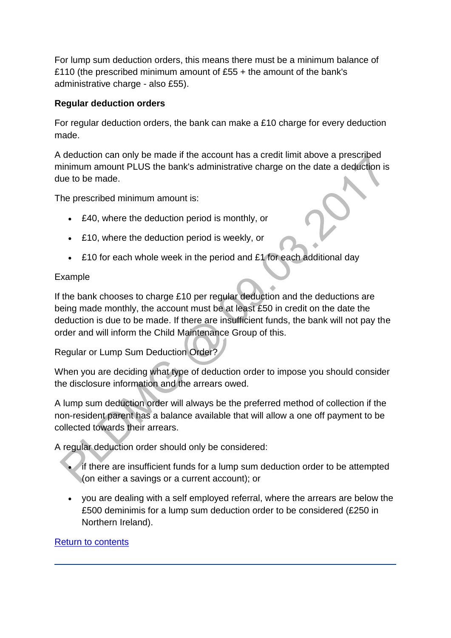For lump sum deduction orders, this means there must be a minimum balance of £110 (the prescribed minimum amount of £55 + the amount of the bank's administrative charge - also £55).

# **Regular deduction orders**

For regular deduction orders, the bank can make a £10 charge for every deduction made.

A deduction can only be made if the account has a credit limit above a prescribed minimum amount PLUS the bank's administrative charge on the date a deduction is due to be made.

The prescribed minimum amount is:

- £40, where the deduction period is monthly, or
- £10, where the deduction period is weekly, or
- £10 for each whole week in the period and £1 for each additional day

# Example

If the bank chooses to charge £10 per regular deduction and the deductions are being made monthly, the account must be at least £50 in credit on the date the deduction is due to be made. If there are insufficient funds, the bank will not pay the order and will inform the Child Maintenance Group of this.

Regular or Lump Sum Deduction Order?

When you are deciding what type of deduction order to impose you should consider the disclosure information and the arrears owed.

A lump sum deduction order will always be the preferred method of collection if the non-resident parent has a balance available that will allow a one off payment to be collected towards their arrears.

A regular deduction order should only be considered:

- if there are insufficient funds for a lump sum deduction order to be attempted (on either a savings or a current account); or
- you are dealing with a self employed referral, where the arrears are below the £500 deminimis for a lump sum deduction order to be considered (£250 in Northern Ireland).

## [Return to contents](http://np-cmg-sharepoint.link2.gpn.gov.uk/sites/policy-law-and-decision-making-guidance/Pages/Arrears%20MOC/Deduction-Orders-DMG.aspx#Contents)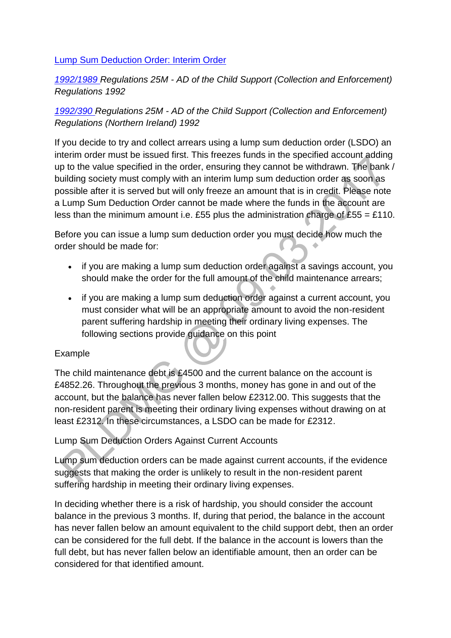#### [Lump Sum Deduction Order: Interim Order](http://np-cmg-sharepoint.link2.gpn.gov.uk/sites/policy-law-and-decision-making-guidance/Pages/Arrears%20MOC/Deduction-Orders-DMG.aspx)

# *[1992/1989 R](http://www.legislation.gov.uk/uksi/1992/1989)egulations 25M - AD of the Child Support (Collection and Enforcement) Regulations 1992*

# *[1992/390 R](http://iaccess.communities-ni.gov.uk/sspldorangevolumesinternet/users/Viewattachment.aspx?recordid=/maHq7u7Uto=)egulations 25M - AD of the Child Support (Collection and Enforcement) Regulations (Northern Ireland) 1992*

If you decide to try and collect arrears using a lump sum deduction order (LSDO) an interim order must be issued first. This freezes funds in the specified account adding up to the value specified in the order, ensuring they cannot be withdrawn. The bank / building society must comply with an interim lump sum deduction order as soon as possible after it is served but will only freeze an amount that is in credit. Please note a Lump Sum Deduction Order cannot be made where the funds in the account are less than the minimum amount i.e. £55 plus the administration charge of  $£55 = £110$ .

Before you can issue a lump sum deduction order you must decide how much the order should be made for:

- if you are making a lump sum deduction order against a savings account, you should make the order for the full amount of the child maintenance arrears;
- if you are making a lump sum deduction order against a current account, you must consider what will be an appropriate amount to avoid the non-resident parent suffering hardship in meeting their ordinary living expenses. The following sections provide guidance on this point

## Example

The child maintenance debt is £4500 and the current balance on the account is £4852.26. Throughout the previous 3 months, money has gone in and out of the account, but the balance has never fallen below £2312.00. This suggests that the non-resident parent is meeting their ordinary living expenses without drawing on at least £2312. In these circumstances, a LSDO can be made for £2312.

## Lump Sum Deduction Orders Against Current Accounts

Lump sum deduction orders can be made against current accounts, if the evidence suggests that making the order is unlikely to result in the non-resident parent suffering hardship in meeting their ordinary living expenses.

In deciding whether there is a risk of hardship, you should consider the account balance in the previous 3 months. If, during that period, the balance in the account has never fallen below an amount equivalent to the child support debt, then an order can be considered for the full debt. If the balance in the account is lowers than the full debt, but has never fallen below an identifiable amount, then an order can be considered for that identified amount.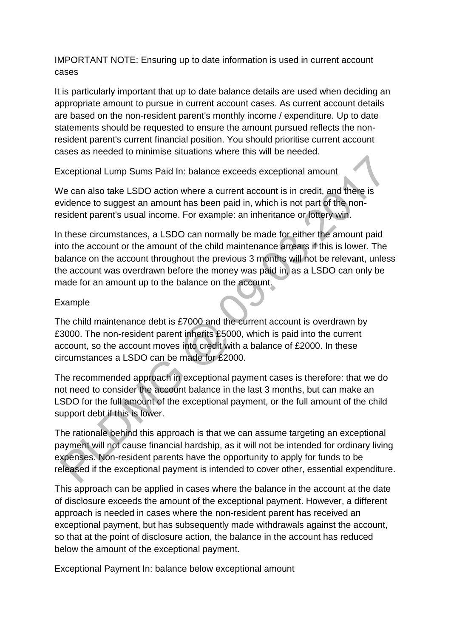IMPORTANT NOTE: Ensuring up to date information is used in current account cases

It is particularly important that up to date balance details are used when deciding an appropriate amount to pursue in current account cases. As current account details are based on the non-resident parent's monthly income / expenditure. Up to date statements should be requested to ensure the amount pursued reflects the nonresident parent's current financial position. You should prioritise current account cases as needed to minimise situations where this will be needed.

Exceptional Lump Sums Paid In: balance exceeds exceptional amount

We can also take LSDO action where a current account is in credit, and there is evidence to suggest an amount has been paid in, which is not part of the nonresident parent's usual income. For example: an inheritance or lottery win.

In these circumstances, a LSDO can normally be made for either the amount paid into the account or the amount of the child maintenance arrears if this is lower. The balance on the account throughout the previous 3 months will not be relevant, unless the account was overdrawn before the money was paid in, as a LSDO can only be made for an amount up to the balance on the account.

# Example

The child maintenance debt is £7000 and the current account is overdrawn by £3000. The non-resident parent inherits £5000, which is paid into the current account, so the account moves into credit with a balance of £2000. In these circumstances a LSDO can be made for £2000.

The recommended approach in exceptional payment cases is therefore: that we do not need to consider the account balance in the last 3 months, but can make an LSDO for the full amount of the exceptional payment, or the full amount of the child support debt if this is lower.

The rationale behind this approach is that we can assume targeting an exceptional payment will not cause financial hardship, as it will not be intended for ordinary living expenses. Non-resident parents have the opportunity to apply for funds to be released if the exceptional payment is intended to cover other, essential expenditure.

This approach can be applied in cases where the balance in the account at the date of disclosure exceeds the amount of the exceptional payment. However, a different approach is needed in cases where the non-resident parent has received an exceptional payment, but has subsequently made withdrawals against the account, so that at the point of disclosure action, the balance in the account has reduced below the amount of the exceptional payment.

Exceptional Payment In: balance below exceptional amount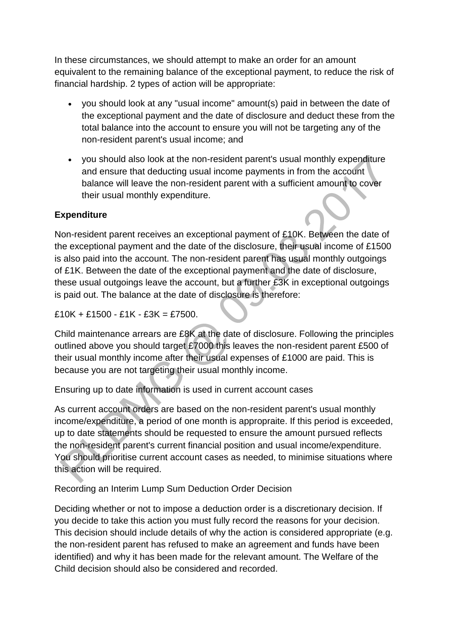In these circumstances, we should attempt to make an order for an amount equivalent to the remaining balance of the exceptional payment, to reduce the risk of financial hardship. 2 types of action will be appropriate:

- you should look at any "usual income" amount(s) paid in between the date of the exceptional payment and the date of disclosure and deduct these from the total balance into the account to ensure you will not be targeting any of the non-resident parent's usual income; and
- you should also look at the non-resident parent's usual monthly expenditure and ensure that deducting usual income payments in from the account balance will leave the non-resident parent with a sufficient amount to cover their usual monthly expenditure.

# **Expenditure**

Non-resident parent receives an exceptional payment of £10K. Between the date of the exceptional payment and the date of the disclosure, their usual income of £1500 is also paid into the account. The non-resident parent has usual monthly outgoings of £1K. Between the date of the exceptional payment and the date of disclosure, these usual outgoings leave the account, but a further £3K in exceptional outgoings is paid out. The balance at the date of disclosure is therefore:

 $£10K + £1500 - £1K - £3K = £7500.$ 

Child maintenance arrears are £8K at the date of disclosure. Following the principles outlined above you should target £7000 this leaves the non-resident parent £500 of their usual monthly income after their usual expenses of £1000 are paid. This is because you are not targeting their usual monthly income.

Ensuring up to date information is used in current account cases

As current account orders are based on the non-resident parent's usual monthly income/expenditure, a period of one month is appropraite. If this period is exceeded, up to date statements should be requested to ensure the amount pursued reflects the non-resident parent's current financial position and usual income/expenditure. You should prioritise current account cases as needed, to minimise situations where this action will be required.

Recording an Interim Lump Sum Deduction Order Decision

Deciding whether or not to impose a deduction order is a discretionary decision. If you decide to take this action you must fully record the reasons for your decision. This decision should include details of why the action is considered appropriate (e.g. the non-resident parent has refused to make an agreement and funds have been identified) and why it has been made for the relevant amount. The Welfare of the Child decision should also be considered and recorded.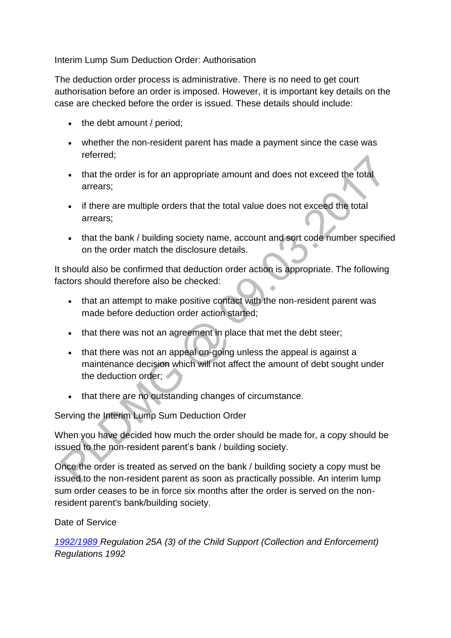Interim Lump Sum Deduction Order: Authorisation

The deduction order process is administrative. There is no need to get court authorisation before an order is imposed. However, it is important key details on the case are checked before the order is issued. These details should include:

- the debt amount / period:
- whether the non-resident parent has made a payment since the case was referred;
- that the order is for an appropriate amount and does not exceed the total arrears;
- if there are multiple orders that the total value does not exceed the total arrears;
- that the bank / building society name, account and sort code number specified on the order match the disclosure details.

It should also be confirmed that deduction order action is appropriate. The following factors should therefore also be checked:

- that an attempt to make positive contact with the non-resident parent was made before deduction order action started;
- that there was not an agreement in place that met the debt steer;
- that there was not an appeal on-going unless the appeal is against a maintenance decision which will not affect the amount of debt sought under the deduction order;
- that there are no outstanding changes of circumstance.

Serving the Interim Lump Sum Deduction Order

When you have decided how much the order should be made for, a copy should be issued to the non-resident parent's bank / building society.

Once the order is treated as served on the bank / building society a copy must be issued to the non-resident parent as soon as practically possible. An interim lump sum order ceases to be in force six months after the order is served on the nonresident parent's bank/building society.

Date of Service

*[1992/1989 R](http://www.legislation.gov.uk/uksi/1992/1989)egulation 25A (3) of the Child Support (Collection and Enforcement) Regulations 1992*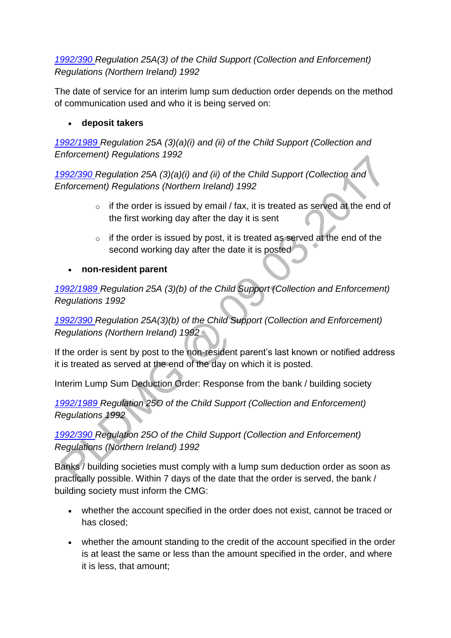# *[1992/390 R](http://iaccess.communities-ni.gov.uk/sspldorangevolumesinternet/users/Viewattachment.aspx?recordid=/maHq7u7Uto=)egulation 25A(3) of the Child Support (Collection and Enforcement) Regulations (Northern Ireland) 1992*

The date of service for an interim lump sum deduction order depends on the method of communication used and who it is being served on:

**deposit takers**

*[1992/1989 R](http://www.legislation.gov.uk/uksi/1992/1989)egulation 25A (3)(a)(i) and (ii) of the Child Support (Collection and Enforcement) Regulations 1992*

*[1992/390 R](http://iaccess.communities-ni.gov.uk/sspldorangevolumesinternet/users/Viewattachment.aspx?recordid=/maHq7u7Uto=)egulation 25A (3)(a)(i) and (ii) of the Child Support (Collection and Enforcement) Regulations (Northern Ireland) 1992* 

- $\circ$  if the order is issued by email / fax, it is treated as served at the end of the first working day after the day it is sent
- $\circ$  if the order is issued by post, it is treated as served at the end of the second working day after the date it is posted
- **non-resident parent**

*[1992/1989 R](http://www.legislation.gov.uk/uksi/1992/1989)egulation 25A (3)(b) of the Child Support (Collection and Enforcement) Regulations 1992*

*[1992/390 R](http://iaccess.communities-ni.gov.uk/sspldorangevolumesinternet/users/Viewattachment.aspx?recordid=/maHq7u7Uto=)egulation 25A(3)(b) of the Child Support (Collection and Enforcement) Regulations (Northern Ireland) 1992*

If the order is sent by post to the non-resident parent's last known or notified address it is treated as served at the end of the day on which it is posted.

Interim Lump Sum Deduction Order: Response from the bank / building society

*[1992/1989 R](http://www.legislation.gov.uk/uksi/1992/1989)egulation 25O of the Child Support (Collection and Enforcement) Regulations 1992*

*[1992/390 R](http://iaccess.communities-ni.gov.uk/sspldorangevolumesinternet/users/Viewattachment.aspx?recordid=/maHq7u7Uto=)egulation 25O of the Child Support (Collection and Enforcement) Regulations (Northern Ireland) 1992*

Banks / building societies must comply with a lump sum deduction order as soon as practically possible. Within 7 days of the date that the order is served, the bank / building society must inform the CMG:

- whether the account specified in the order does not exist, cannot be traced or has closed;
- whether the amount standing to the credit of the account specified in the order is at least the same or less than the amount specified in the order, and where it is less, that amount;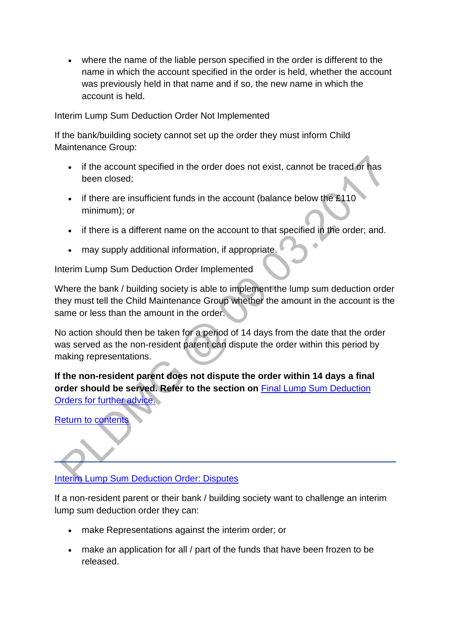where the name of the liable person specified in the order is different to the name in which the account specified in the order is held, whether the account was previously held in that name and if so, the new name in which the account is held.

Interim Lump Sum Deduction Order Not Implemented

If the bank/building society cannot set up the order they must inform Child Maintenance Group:

- if the account specified in the order does not exist, cannot be traced or has been closed;
- if there are insufficient funds in the account (balance below the £110 minimum); or
- if there is a different name on the account to that specified in the order; and.
- may supply additional information, if appropriate.

Interim Lump Sum Deduction Order Implemented

Where the bank / building society is able to implement the lump sum deduction order they must tell the Child Maintenance Group whether the amount in the account is the same or less than the amount in the order.

No action should then be taken for a period of 14 days from the date that the order was served as the non-resident parent can dispute the order within this period by making representations.

**If the non-resident parent does not dispute the order within 14 days a final order should be served. Refer to the section on** [Final Lump Sum Deduction](http://np-cmg-sharepoint.link2.gpn.gov.uk/sites/policy-law-and-decision-making-guidance/Pages/Arrears%20MOC/Deduction-Orders-DMG.aspx#FinalLSDODMG)  [Orders for further advice.](http://np-cmg-sharepoint.link2.gpn.gov.uk/sites/policy-law-and-decision-making-guidance/Pages/Arrears%20MOC/Deduction-Orders-DMG.aspx#FinalLSDODMG)

[Return to contents](http://np-cmg-sharepoint.link2.gpn.gov.uk/sites/policy-law-and-decision-making-guidance/Pages/Arrears%20MOC/Deduction-Orders-DMG.aspx#Contents)

[Interim Lump Sum Deduction Order: Disputes](http://np-cmg-sharepoint.link2.gpn.gov.uk/sites/policy-law-and-decision-making-guidance/Pages/Arrears%20MOC/Deduction-Orders-DMG.aspx)

If a non-resident parent or their bank / building society want to challenge an interim lump sum deduction order they can:

- make Representations against the interim order; or
- make an application for all / part of the funds that have been frozen to be released.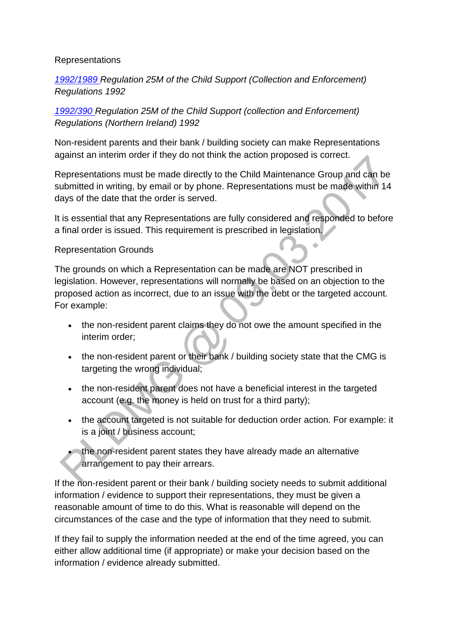#### Representations

*[1992/1989 R](http://www.legislation.gov.uk/uksi/1992/1989)egulation 25M of the Child Support (Collection and Enforcement) Regulations 1992*

*[1992/390 R](http://iaccess.communities-ni.gov.uk/sspldorangevolumesinternet/users/Viewattachment.aspx?recordid=/maHq7u7Uto=)egulation 25M of the Child Support (collection and Enforcement) Regulations (Northern Ireland) 1992*

Non-resident parents and their bank / building society can make Representations against an interim order if they do not think the action proposed is correct.

Representations must be made directly to the Child Maintenance Group and can be submitted in writing, by email or by phone. Representations must be made within 14 days of the date that the order is served.

It is essential that any Representations are fully considered and responded to before a final order is issued. This requirement is prescribed in legislation.

#### Representation Grounds

The grounds on which a Representation can be made are NOT prescribed in legislation. However, representations will normally be based on an objection to the proposed action as incorrect, due to an issue with the debt or the targeted account. For example:

- the non-resident parent claims they do not owe the amount specified in the interim order;
- the non-resident parent or their bank / building society state that the CMG is targeting the wrong individual;
- the non-resident parent does not have a beneficial interest in the targeted account (e.g. the money is held on trust for a third party);
- the account targeted is not suitable for deduction order action. For example: it is a joint / business account;
- the non-resident parent states they have already made an alternative arrangement to pay their arrears.

If the non-resident parent or their bank / building society needs to submit additional information / evidence to support their representations, they must be given a reasonable amount of time to do this. What is reasonable will depend on the circumstances of the case and the type of information that they need to submit.

If they fail to supply the information needed at the end of the time agreed, you can either allow additional time (if appropriate) or make your decision based on the information / evidence already submitted.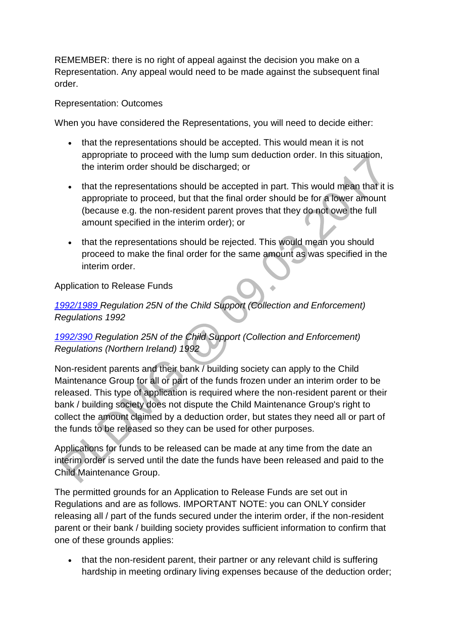REMEMBER: there is no right of appeal against the decision you make on a Representation. Any appeal would need to be made against the subsequent final order.

#### Representation: Outcomes

When you have considered the Representations, you will need to decide either:

- that the representations should be accepted. This would mean it is not appropriate to proceed with the lump sum deduction order. In this situation, the interim order should be discharged; or
- that the representations should be accepted in part. This would mean that it is appropriate to proceed, but that the final order should be for a lower amount (because e.g. the non-resident parent proves that they do not owe the full amount specified in the interim order); or
- that the representations should be rejected. This would mean you should proceed to make the final order for the same amount as was specified in the interim order.

## Application to Release Funds

# *[1992/1989 R](http://www.legislation.gov.uk/uksi/1992/1989)egulation 25N of the Child Support (Collection and Enforcement) Regulations 1992*

# *[1992/390](http://iaccess.communities-ni.gov.uk/sspldorangevolumesinternet/users/Viewattachment.aspx?recordid=/maHq7u7Uto=) Regulation 25N of the Child Support (Collection and Enforcement) Regulations (Northern Ireland) 1992*

Non-resident parents and their bank / building society can apply to the Child Maintenance Group for all or part of the funds frozen under an interim order to be released. This type of application is required where the non-resident parent or their bank / building society does not dispute the Child Maintenance Group's right to collect the amount claimed by a deduction order, but states they need all or part of the funds to be released so they can be used for other purposes.

Applications for funds to be released can be made at any time from the date an interim order is served until the date the funds have been released and paid to the Child Maintenance Group.

The permitted grounds for an Application to Release Funds are set out in Regulations and are as follows. IMPORTANT NOTE: you can ONLY consider releasing all / part of the funds secured under the interim order, if the non-resident parent or their bank / building society provides sufficient information to confirm that one of these grounds applies:

 that the non-resident parent, their partner or any relevant child is suffering hardship in meeting ordinary living expenses because of the deduction order;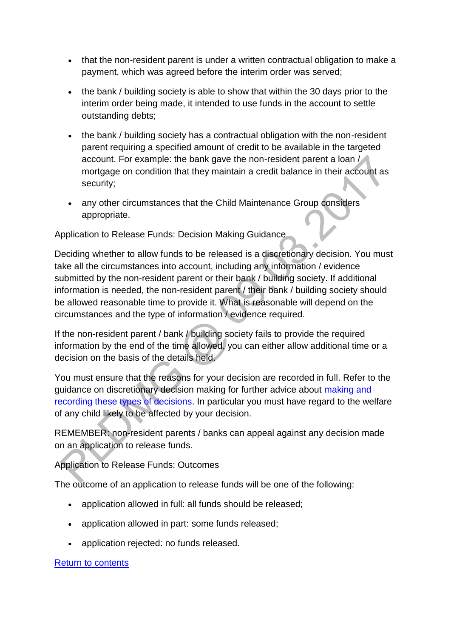- that the non-resident parent is under a written contractual obligation to make a payment, which was agreed before the interim order was served;
- the bank / building society is able to show that within the 30 days prior to the interim order being made, it intended to use funds in the account to settle outstanding debts;
- the bank / building society has a contractual obligation with the non-resident parent requiring a specified amount of credit to be available in the targeted account. For example: the bank gave the non-resident parent a loan / mortgage on condition that they maintain a credit balance in their account as security;
- any other circumstances that the Child Maintenance Group considers appropriate.

# Application to Release Funds: Decision Making Guidance

Deciding whether to allow funds to be released is a discretionary decision. You must take all the circumstances into account, including any information / evidence submitted by the non-resident parent or their bank / building society. If additional information is needed, the non-resident parent / their bank / building society should be allowed reasonable time to provide it. What is reasonable will depend on the circumstances and the type of information / evidence required.

If the non-resident parent / bank / building society fails to provide the required information by the end of the time allowed, you can either allow additional time or a decision on the basis of the details held.

You must ensure that the reasons for your decision are recorded in full. Refer to the guidance on discretionary decision making for further advice about [making and](http://np-cmg-sharepoint.link2.gpn.gov.uk/sites/policy-law-and-decision-making-guidance/Pages/Evidence%20and%20decision%20making/Evidence-and-decision-making.aspx)  [recording these types of decisions.](http://np-cmg-sharepoint.link2.gpn.gov.uk/sites/policy-law-and-decision-making-guidance/Pages/Evidence%20and%20decision%20making/Evidence-and-decision-making.aspx) In particular you must have regard to the welfare of any child likely to be affected by your decision.

REMEMBER: non-resident parents / banks can appeal against any decision made on an application to release funds.

## Application to Release Funds: Outcomes

The outcome of an application to release funds will be one of the following:

- application allowed in full: all funds should be released;
- application allowed in part: some funds released;
- application rejected: no funds released.

## [Return to contents](http://np-cmg-sharepoint.link2.gpn.gov.uk/sites/policy-law-and-decision-making-guidance/Pages/Arrears%20MOC/Deduction-Orders-DMG.aspx#Contents)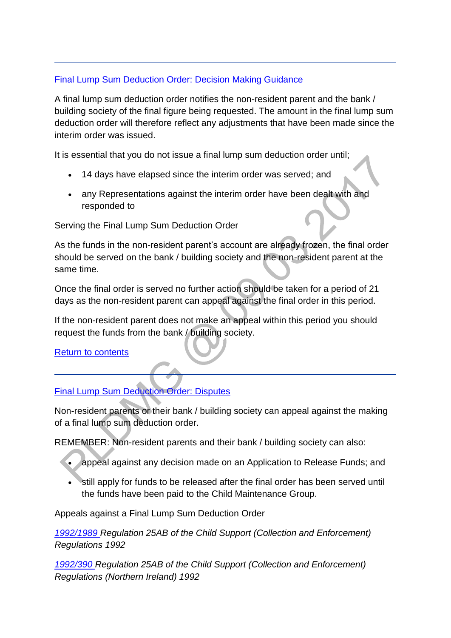# [Final Lump Sum Deduction Order: Decision Making Guidance](http://np-cmg-sharepoint.link2.gpn.gov.uk/sites/policy-law-and-decision-making-guidance/Pages/Arrears%20MOC/Deduction-Orders-DMG.aspx)

A final lump sum deduction order notifies the non-resident parent and the bank / building society of the final figure being requested. The amount in the final lump sum deduction order will therefore reflect any adjustments that have been made since the interim order was issued.

It is essential that you do not issue a final lump sum deduction order until;

- 14 days have elapsed since the interim order was served; and
- any Representations against the interim order have been dealt with and responded to

# Serving the Final Lump Sum Deduction Order

As the funds in the non-resident parent's account are already frozen, the final order should be served on the bank / building society and the non-resident parent at the same time.

Once the final order is served no further action should be taken for a period of 21 days as the non-resident parent can appeal against the final order in this period.

If the non-resident parent does not make an appeal within this period you should request the funds from the bank / building society.

## [Return to contents](http://np-cmg-sharepoint.link2.gpn.gov.uk/sites/policy-law-and-decision-making-guidance/Pages/Arrears%20MOC/Deduction-Orders-DMG.aspx#Contents)

# [Final Lump Sum Deduction Order: Disputes](http://np-cmg-sharepoint.link2.gpn.gov.uk/sites/policy-law-and-decision-making-guidance/Pages/Arrears%20MOC/Deduction-Orders-DMG.aspx)

Non-resident parents or their bank / building society can appeal against the making of a final lump sum deduction order.

REMEMBER: Non-resident parents and their bank / building society can also:

- appeal against any decision made on an Application to Release Funds; and
- still apply for funds to be released after the final order has been served until the funds have been paid to the Child Maintenance Group.

Appeals against a Final Lump Sum Deduction Order

*[1992/1989 R](http://www.legislation.gov.uk/uksi/1992/1989)egulation 25AB of the Child Support (Collection and Enforcement) Regulations 1992*

*[1992/390 R](http://iaccess.communities-ni.gov.uk/sspldorangevolumesinternet/users/Viewattachment.aspx?recordid=/maHq7u7Uto=)egulation 25AB of the Child Support (Collection and Enforcement) Regulations (Northern Ireland) 1992*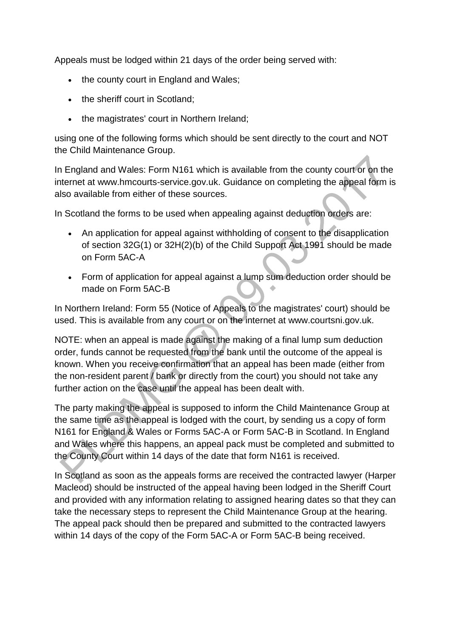Appeals must be lodged within 21 days of the order being served with:

- the county court in England and Wales;
- the sheriff court in Scotland;
- the magistrates' court in Northern Ireland;

using one of the following forms which should be sent directly to the court and NOT the Child Maintenance Group.

In England and Wales: Form N161 which is available from the county court or on the internet at www.hmcourts-service.gov.uk. Guidance on completing the appeal form is also available from either of these sources.

In Scotland the forms to be used when appealing against deduction orders are:

- An application for appeal against withholding of consent to the disapplication of section 32G(1) or 32H(2)(b) of the Child Support Act 1991 should be made on Form 5AC-A
- Form of application for appeal against a lump sum deduction order should be made on Form 5AC-B

In Northern Ireland: Form 55 (Notice of Appeals to the magistrates' court) should be used. This is available from any court or on the internet at www.courtsni.gov.uk.

NOTE: when an appeal is made against the making of a final lump sum deduction order, funds cannot be requested from the bank until the outcome of the appeal is known. When you receive confirmation that an appeal has been made (either from the non-resident parent / bank or directly from the court) you should not take any further action on the case until the appeal has been dealt with.

The party making the appeal is supposed to inform the Child Maintenance Group at the same time as the appeal is lodged with the court, by sending us a copy of form N161 for England & Wales or Forms 5AC-A or Form 5AC-B in Scotland. In England and Wales where this happens, an appeal pack must be completed and submitted to the County Court within 14 days of the date that form N161 is received.

In Scotland as soon as the appeals forms are received the contracted lawyer (Harper Macleod) should be instructed of the appeal having been lodged in the Sheriff Court and provided with any information relating to assigned hearing dates so that they can take the necessary steps to represent the Child Maintenance Group at the hearing. The appeal pack should then be prepared and submitted to the contracted lawyers within 14 days of the copy of the Form 5AC-A or Form 5AC-B being received.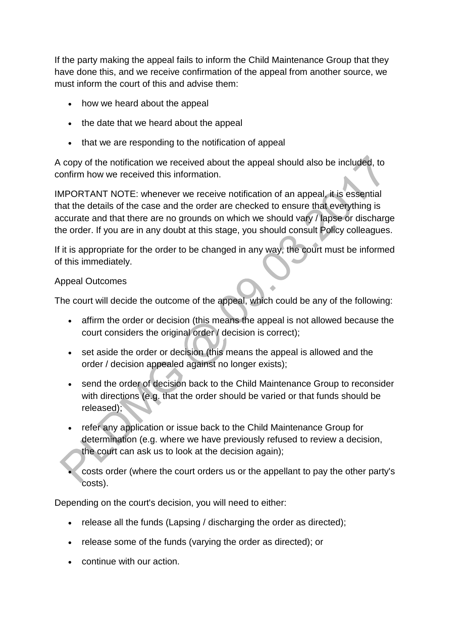If the party making the appeal fails to inform the Child Maintenance Group that they have done this, and we receive confirmation of the appeal from another source, we must inform the court of this and advise them:

- how we heard about the appeal
- the date that we heard about the appeal
- that we are responding to the notification of appeal

A copy of the notification we received about the appeal should also be included, to confirm how we received this information.

IMPORTANT NOTE: whenever we receive notification of an appeal, it is essential that the details of the case and the order are checked to ensure that everything is accurate and that there are no grounds on which we should vary / lapse or discharge the order. If you are in any doubt at this stage, you should consult Policy colleagues.

If it is appropriate for the order to be changed in any way, the court must be informed of this immediately.

## Appeal Outcomes

The court will decide the outcome of the appeal, which could be any of the following:

- affirm the order or decision (this means the appeal is not allowed because the court considers the original order / decision is correct);
- set aside the order or decision (this means the appeal is allowed and the order / decision appealed against no longer exists);
- send the order of decision back to the Child Maintenance Group to reconsider with directions (e.g. that the order should be varied or that funds should be released);
- refer any application or issue back to the Child Maintenance Group for determination (e.g. where we have previously refused to review a decision, the court can ask us to look at the decision again);
- costs order (where the court orders us or the appellant to pay the other party's costs).

Depending on the court's decision, you will need to either:

- release all the funds (Lapsing / discharging the order as directed);
- release some of the funds (varying the order as directed); or
- continue with our action.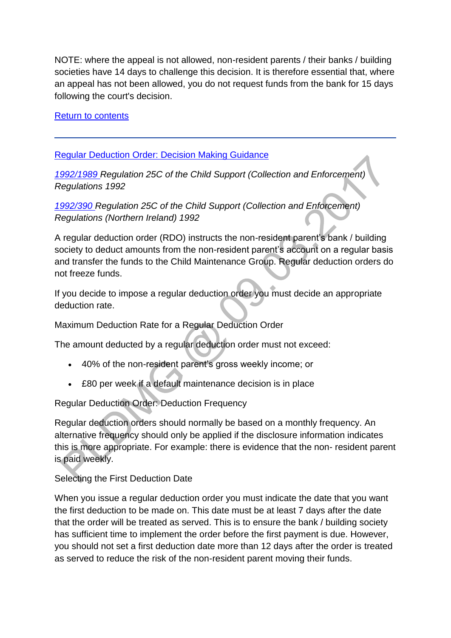NOTE: where the appeal is not allowed, non-resident parents / their banks / building societies have 14 days to challenge this decision. It is therefore essential that, where an appeal has not been allowed, you do not request funds from the bank for 15 days following the court's decision.

[Return to contents](http://np-cmg-sharepoint.link2.gpn.gov.uk/sites/policy-law-and-decision-making-guidance/Pages/Arrears%20MOC/Deduction-Orders-DMG.aspx#Contents)

# [Regular Deduction Order: Decision Making Guidance](http://np-cmg-sharepoint.link2.gpn.gov.uk/sites/policy-law-and-decision-making-guidance/Pages/Arrears%20MOC/Deduction-Orders-DMG.aspx)

*[1992/1989 R](http://www.legislation.gov.uk/uksi/1992/1989)egulation 25C of the Child Support (Collection and Enforcement) Regulations 1992*

*[1992/390 R](http://iaccess.communities-ni.gov.uk/sspldorangevolumesinternet/users/Viewattachment.aspx?recordid=/maHq7u7Uto=)egulation 25C of the Child Support (Collection and Enforcement) Regulations (Northern Ireland) 1992*

A regular deduction order (RDO) instructs the non-resident parent's bank / building society to deduct amounts from the non-resident parent's account on a regular basis and transfer the funds to the Child Maintenance Group. Regular deduction orders do not freeze funds.

If you decide to impose a regular deduction order you must decide an appropriate deduction rate.

Maximum Deduction Rate for a Regular Deduction Order

The amount deducted by a regular deduction order must not exceed:

- 40% of the non-resident parent's gross weekly income; or
- £80 per week if a default maintenance decision is in place

Regular Deduction Order: Deduction Frequency

Regular deduction orders should normally be based on a monthly frequency. An alternative frequency should only be applied if the disclosure information indicates this is more appropriate. For example: there is evidence that the non- resident parent is paid weekly.

Selecting the First Deduction Date

When you issue a regular deduction order you must indicate the date that you want the first deduction to be made on. This date must be at least 7 days after the date that the order will be treated as served. This is to ensure the bank / building society has sufficient time to implement the order before the first payment is due. However, you should not set a first deduction date more than 12 days after the order is treated as served to reduce the risk of the non-resident parent moving their funds.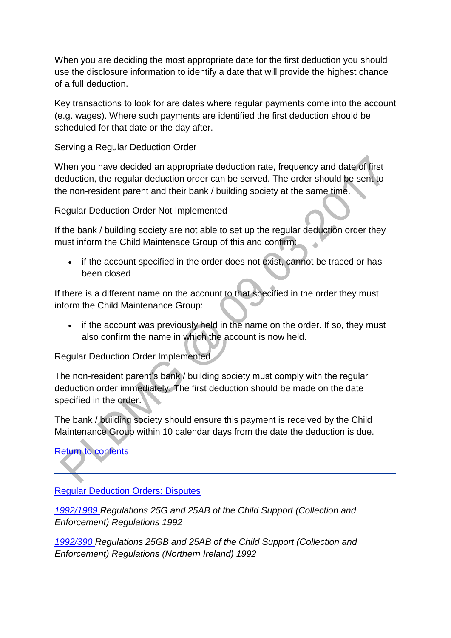When you are deciding the most appropriate date for the first deduction you should use the disclosure information to identify a date that will provide the highest chance of a full deduction.

Key transactions to look for are dates where regular payments come into the account (e.g. wages). Where such payments are identified the first deduction should be scheduled for that date or the day after.

Serving a Regular Deduction Order

When you have decided an appropriate deduction rate, frequency and date of first deduction, the regular deduction order can be served. The order should be sent to the non-resident parent and their bank / building society at the same time.

Regular Deduction Order Not Implemented

If the bank / building society are not able to set up the regular deduction order they must inform the Child Maintenace Group of this and confirm:

• if the account specified in the order does not exist, cannot be traced or has been closed

If there is a different name on the account to that specified in the order they must inform the Child Maintenance Group:

• if the account was previously held in the name on the order. If so, they must also confirm the name in which the account is now held.

Regular Deduction Order Implemented

The non-resident parent's bank / building society must comply with the regular deduction order immediately. The first deduction should be made on the date specified in the order.

The bank / building society should ensure this payment is received by the Child Maintenance Group within 10 calendar days from the date the deduction is due.

# [Return to contents](http://np-cmg-sharepoint.link2.gpn.gov.uk/sites/policy-law-and-decision-making-guidance/Pages/Arrears%20MOC/Deduction-Orders-DMG.aspx#Contents)

[Regular Deduction Orders: Disputes](http://np-cmg-sharepoint.link2.gpn.gov.uk/sites/policy-law-and-decision-making-guidance/Pages/Arrears%20MOC/Deduction-Orders-DMG.aspx)

*[1992/1989 R](http://www.legislation.gov.uk/uksi/1992/1989)egulations 25G and 25AB of the Child Support (Collection and Enforcement) Regulations 1992*

*[1992/390 R](http://iaccess.communities-ni.gov.uk/sspldorangevolumesinternet/users/Viewattachment.aspx?recordid=/maHq7u7Uto=)egulations 25GB and 25AB of the Child Support (Collection and Enforcement) Regulations (Northern Ireland) 1992*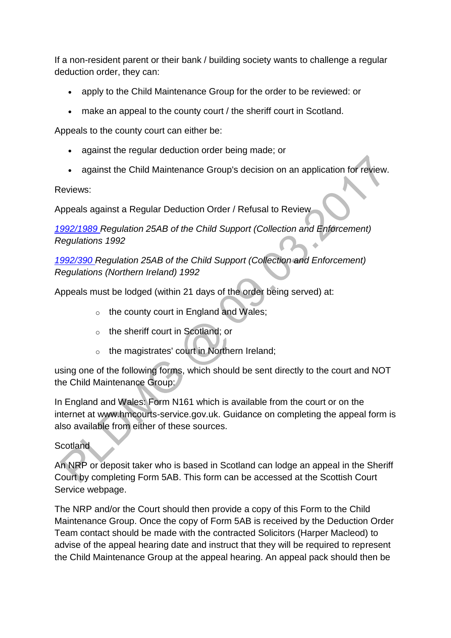If a non-resident parent or their bank / building society wants to challenge a regular deduction order, they can:

- apply to the Child Maintenance Group for the order to be reviewed: or
- make an appeal to the county court / the sheriff court in Scotland.

Appeals to the county court can either be:

- against the regular deduction order being made; or
- against the Child Maintenance Group's decision on an application for review.

Reviews:

Appeals against a Regular Deduction Order / Refusal to Review

*[1992/1989 R](http://www.legislation.gov.uk/uksi/1992/1989)egulation 25AB of the Child Support (Collection and Enforcement) Regulations 1992*  $\ddot{\phantom{0}}$ 

*[1992/390 R](http://iaccess.communities-ni.gov.uk/sspldorangevolumesinternet/users/Viewattachment.aspx?recordid=/maHq7u7Uto=)egulation 25AB of the Child Support (Collection and Enforcement) Regulations (Northern Ireland) 1992*

Appeals must be lodged (within 21 days of the order being served) at:

- o the county court in England and Wales;
- o the sheriff court in Scotland; or
- o the magistrates' court in Northern Ireland;

using one of the following forms, which should be sent directly to the court and NOT the Child Maintenance Group:

In England and Wales: Form N161 which is available from the court or on the internet at www.hmcourts-service.gov.uk. Guidance on completing the appeal form is also available from either of these sources.

## **Scotland**

An NRP or deposit taker who is based in Scotland can lodge an appeal in the Sheriff Court by completing Form 5AB. This form can be accessed at the Scottish Court Service webpage.

The NRP and/or the Court should then provide a copy of this Form to the Child Maintenance Group. Once the copy of Form 5AB is received by the Deduction Order Team contact should be made with the contracted Solicitors (Harper Macleod) to advise of the appeal hearing date and instruct that they will be required to represent the Child Maintenance Group at the appeal hearing. An appeal pack should then be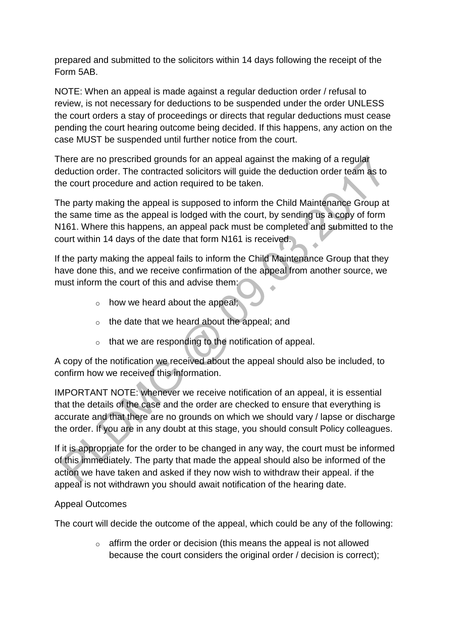prepared and submitted to the solicitors within 14 days following the receipt of the Form 5AB.

NOTE: When an appeal is made against a regular deduction order / refusal to review, is not necessary for deductions to be suspended under the order UNLESS the court orders a stay of proceedings or directs that regular deductions must cease pending the court hearing outcome being decided. If this happens, any action on the case MUST be suspended until further notice from the court.

There are no prescribed grounds for an appeal against the making of a regular deduction order. The contracted solicitors will guide the deduction order team as to the court procedure and action required to be taken.

The party making the appeal is supposed to inform the Child Maintenance Group at the same time as the appeal is lodged with the court, by sending us a copy of form N161. Where this happens, an appeal pack must be completed and submitted to the court within 14 days of the date that form N161 is received.

If the party making the appeal fails to inform the Child Maintenance Group that they have done this, and we receive confirmation of the appeal from another source, we must inform the court of this and advise them:

- $\circ$  how we heard about the appeal;
- o the date that we heard about the appeal; and
- o that we are responding to the notification of appeal.

A copy of the notification we received about the appeal should also be included, to confirm how we received this information.

IMPORTANT NOTE: whenever we receive notification of an appeal, it is essential that the details of the case and the order are checked to ensure that everything is accurate and that there are no grounds on which we should vary / lapse or discharge the order. If you are in any doubt at this stage, you should consult Policy colleagues.

If it is appropriate for the order to be changed in any way, the court must be informed of this immediately. The party that made the appeal should also be informed of the action we have taken and asked if they now wish to withdraw their appeal. if the appeal is not withdrawn you should await notification of the hearing date.

## Appeal Outcomes

The court will decide the outcome of the appeal, which could be any of the following:

 $\circ$  affirm the order or decision (this means the appeal is not allowed because the court considers the original order / decision is correct);